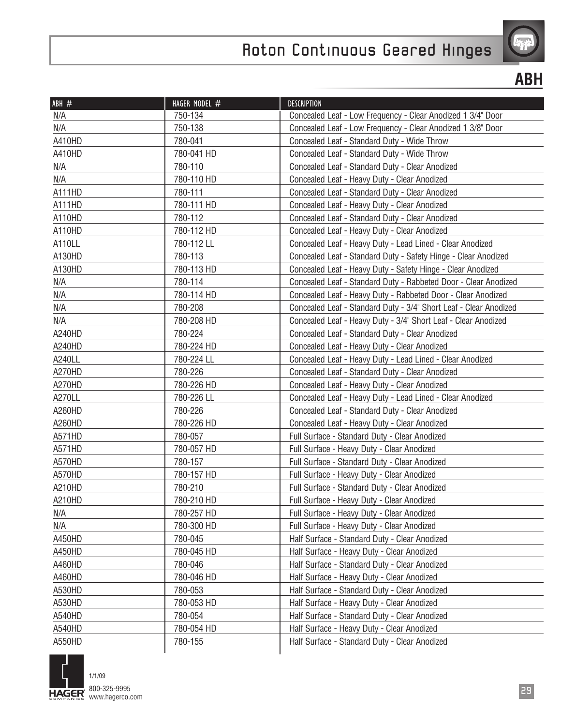

**ABH**

| ABH #  | HAGER MODEL # | <b>DESCRIPTION</b>                                                |
|--------|---------------|-------------------------------------------------------------------|
| N/A    | 750-134       | Concealed Leaf - Low Frequency - Clear Anodized 1 3/4" Door       |
| N/A    | 750-138       | Concealed Leaf - Low Frequency - Clear Anodized 1 3/8" Door       |
| A410HD | 780-041       | Concealed Leaf - Standard Duty - Wide Throw                       |
| A410HD | 780-041 HD    | Concealed Leaf - Standard Duty - Wide Throw                       |
| N/A    | 780-110       | Concealed Leaf - Standard Duty - Clear Anodized                   |
| N/A    | 780-110 HD    | Concealed Leaf - Heavy Duty - Clear Anodized                      |
| A111HD | 780-111       | Concealed Leaf - Standard Duty - Clear Anodized                   |
| A111HD | 780-111 HD    | Concealed Leaf - Heavy Duty - Clear Anodized                      |
| A110HD | 780-112       | Concealed Leaf - Standard Duty - Clear Anodized                   |
| A110HD | 780-112 HD    | Concealed Leaf - Heavy Duty - Clear Anodized                      |
| A110LL | 780-112 LL    | Concealed Leaf - Heavy Duty - Lead Lined - Clear Anodized         |
| A130HD | 780-113       | Concealed Leaf - Standard Duty - Safety Hinge - Clear Anodized    |
| A130HD | 780-113 HD    | Concealed Leaf - Heavy Duty - Safety Hinge - Clear Anodized       |
| N/A    | 780-114       | Concealed Leaf - Standard Duty - Rabbeted Door - Clear Anodized   |
| N/A    | 780-114 HD    | Concealed Leaf - Heavy Duty - Rabbeted Door - Clear Anodized      |
| N/A    | 780-208       | Concealed Leaf - Standard Duty - 3/4" Short Leaf - Clear Anodized |
| N/A    | 780-208 HD    | Concealed Leaf - Heavy Duty - 3/4" Short Leaf - Clear Anodized    |
| A240HD | 780-224       | Concealed Leaf - Standard Duty - Clear Anodized                   |
| A240HD | 780-224 HD    | Concealed Leaf - Heavy Duty - Clear Anodized                      |
| A240LL | 780-224 LL    | Concealed Leaf - Heavy Duty - Lead Lined - Clear Anodized         |
| A270HD | 780-226       | Concealed Leaf - Standard Duty - Clear Anodized                   |
| A270HD | 780-226 HD    | Concealed Leaf - Heavy Duty - Clear Anodized                      |
| A270LL | 780-226 LL    | Concealed Leaf - Heavy Duty - Lead Lined - Clear Anodized         |
| A260HD | 780-226       | Concealed Leaf - Standard Duty - Clear Anodized                   |
| A260HD | 780-226 HD    | Concealed Leaf - Heavy Duty - Clear Anodized                      |
| A571HD | 780-057       | Full Surface - Standard Duty - Clear Anodized                     |
| A571HD | 780-057 HD    | Full Surface - Heavy Duty - Clear Anodized                        |
| A570HD | 780-157       | Full Surface - Standard Duty - Clear Anodized                     |
| A570HD | 780-157 HD    | Full Surface - Heavy Duty - Clear Anodized                        |
| A210HD | 780-210       | Full Surface - Standard Duty - Clear Anodized                     |
| A210HD | 780-210 HD    | Full Surface - Heavy Duty - Clear Anodized                        |
| N/A    | 780-257 HD    | Full Surface - Heavy Duty - Clear Anodized                        |
| N/A    | 780-300 HD    | Full Surface - Heavy Duty - Clear Anodized                        |
| A450HD | 780-045       | Half Surface - Standard Duty - Clear Anodized                     |
| A450HD | 780-045 HD    | Half Surface - Heavy Duty - Clear Anodized                        |
| A460HD | 780-046       | Half Surface - Standard Duty - Clear Anodized                     |
| A460HD | 780-046 HD    | Half Surface - Heavy Duty - Clear Anodized                        |
| A530HD | 780-053       | Half Surface - Standard Duty - Clear Anodized                     |
| A530HD | 780-053 HD    | Half Surface - Heavy Duty - Clear Anodized                        |
| A540HD | 780-054       | Half Surface - Standard Duty - Clear Anodized                     |
| A540HD | 780-054 HD    | Half Surface - Heavy Duty - Clear Anodized                        |
| A550HD | 780-155       | Half Surface - Standard Duty - Clear Anodized                     |

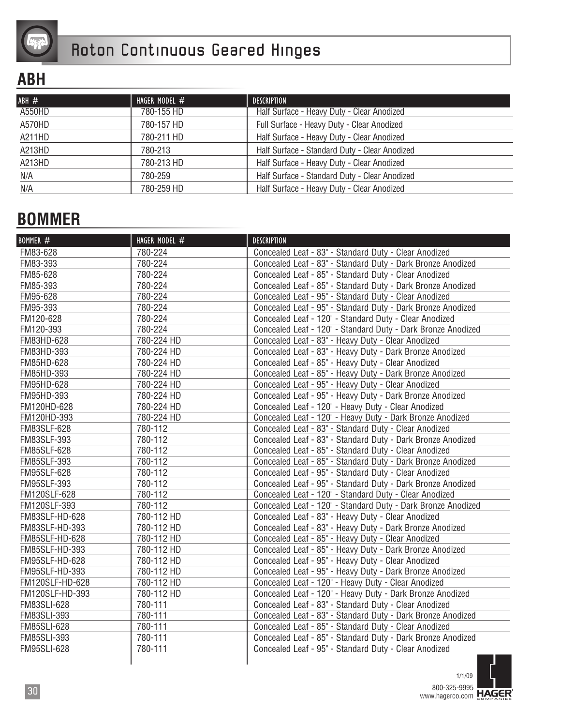

#### **ABH**

| ABH#   | HAGER MODEL $#$ | DESCRIPTION                                   |
|--------|-----------------|-----------------------------------------------|
| A550HD | 780-155 HD      | Half Surface - Heavy Duty - Clear Anodized    |
| A570HD | 780-157 HD      | Full Surface - Heavy Duty - Clear Anodized    |
| A211HD | 780-211 HD      | Half Surface - Heavy Duty - Clear Anodized    |
| A213HD | 780-213         | Half Surface - Standard Duty - Clear Anodized |
| A213HD | 780-213 HD      | Half Surface - Heavy Duty - Clear Anodized    |
| N/A    | 780-259         | Half Surface - Standard Duty - Clear Anodized |
| N/A    | 780-259 HD      | Half Surface - Heavy Duty - Clear Anodized    |

#### **BOMMER**

| BOMMER #           | HAGER MODEL # | <b>DESCRIPTION</b>                                           |
|--------------------|---------------|--------------------------------------------------------------|
| FM83-628           | 780-224       | Concealed Leaf - 83" - Standard Duty - Clear Anodized        |
| FM83-393           | 780-224       | Concealed Leaf - 83" - Standard Duty - Dark Bronze Anodized  |
| FM85-628           | 780-224       | Concealed Leaf - 85" - Standard Duty - Clear Anodized        |
| FM85-393           | 780-224       | Concealed Leaf - 85" - Standard Duty - Dark Bronze Anodized  |
| FM95-628           | 780-224       | Concealed Leaf - 95" - Standard Duty - Clear Anodized        |
| FM95-393           | 780-224       | Concealed Leaf - 95" - Standard Duty - Dark Bronze Anodized  |
| FM120-628          | 780-224       | Concealed Leaf - 120" - Standard Duty - Clear Anodized       |
| FM120-393          | 780-224       | Concealed Leaf - 120" - Standard Duty - Dark Bronze Anodized |
| FM83HD-628         | 780-224 HD    | Concealed Leaf - 83" - Heavy Duty - Clear Anodized           |
| FM83HD-393         | 780-224 HD    | Concealed Leaf - 83" - Heavy Duty - Dark Bronze Anodized     |
| FM85HD-628         | 780-224 HD    | Concealed Leaf - 85" - Heavy Duty - Clear Anodized           |
| FM85HD-393         | 780-224 HD    | Concealed Leaf - 85" - Heavy Duty - Dark Bronze Anodized     |
| FM95HD-628         | 780-224 HD    | Concealed Leaf - 95" - Heavy Duty - Clear Anodized           |
| FM95HD-393         | 780-224 HD    | Concealed Leaf - 95" - Heavy Duty - Dark Bronze Anodized     |
| FM120HD-628        | 780-224 HD    | Concealed Leaf - 120" - Heavy Duty - Clear Anodized          |
| FM120HD-393        | 780-224 HD    | Concealed Leaf - 120" - Heavy Duty - Dark Bronze Anodized    |
| FM83SLF-628        | 780-112       | Concealed Leaf - 83" - Standard Duty - Clear Anodized        |
| FM83SLF-393        | 780-112       | Concealed Leaf - 83" - Standard Duty - Dark Bronze Anodized  |
| FM85SLF-628        | 780-112       | Concealed Leaf - 85" - Standard Duty - Clear Anodized        |
| FM85SLF-393        | 780-112       | Concealed Leaf - 85" - Standard Duty - Dark Bronze Anodized  |
| <b>FM95SLF-628</b> | 780-112       | Concealed Leaf - 95" - Standard Duty - Clear Anodized        |
| FM95SLF-393        | 780-112       | Concealed Leaf - 95" - Standard Duty - Dark Bronze Anodized  |
| FM120SLF-628       | 780-112       | Concealed Leaf - 120" - Standard Duty - Clear Anodized       |
| FM120SLF-393       | 780-112       | Concealed Leaf - 120" - Standard Duty - Dark Bronze Anodized |
| FM83SLF-HD-628     | 780-112 HD    | Concealed Leaf - 83" - Heavy Duty - Clear Anodized           |
| FM83SLF-HD-393     | 780-112 HD    | Concealed Leaf - 83" - Heavy Duty - Dark Bronze Anodized     |
| FM85SLF-HD-628     | 780-112 HD    | Concealed Leaf - 85" - Heavy Duty - Clear Anodized           |
| FM85SLF-HD-393     | 780-112 HD    | Concealed Leaf - 85" - Heavy Duty - Dark Bronze Anodized     |
| FM95SLF-HD-628     | 780-112 HD    | Concealed Leaf - 95" - Heavy Duty - Clear Anodized           |
| FM95SLF-HD-393     | 780-112 HD    | Concealed Leaf - 95" - Heavy Duty - Dark Bronze Anodized     |
| FM120SLF-HD-628    | 780-112 HD    | Concealed Leaf - 120" - Heavy Duty - Clear Anodized          |
| FM120SLF-HD-393    | 780-112 HD    | Concealed Leaf - 120" - Heavy Duty - Dark Bronze Anodized    |
| FM83SLI-628        | 780-111       | Concealed Leaf - 83" - Standard Duty - Clear Anodized        |
| FM83SLI-393        | 780-111       | Concealed Leaf - 83" - Standard Duty - Dark Bronze Anodized  |
| FM85SLI-628        | 780-111       | Concealed Leaf - 85" - Standard Duty - Clear Anodized        |
| FM85SLI-393        | 780-111       | Concealed Leaf - 85" - Standard Duty - Dark Bronze Anodized  |
| <b>FM95SLI-628</b> | 780-111       | Concealed Leaf - 95" - Standard Duty - Clear Anodized        |

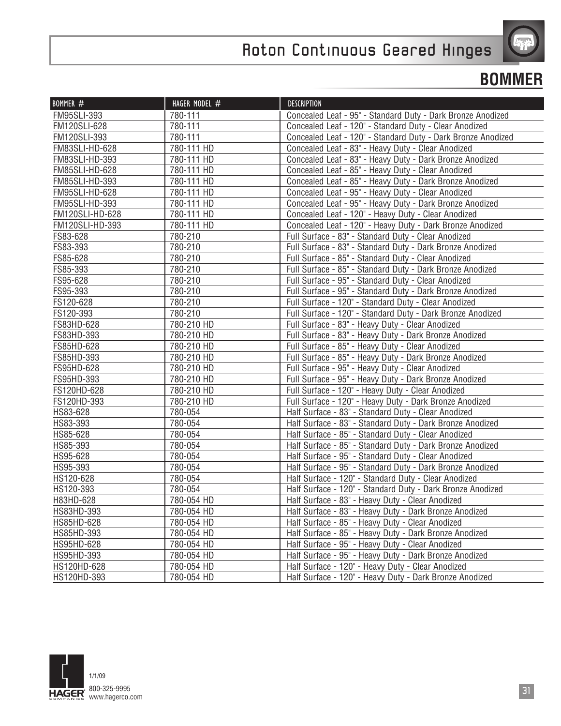

#### **BOMMER**

| BOMMER $#$      | HAGER MODEL # | <b>DESCRIPTION</b>                                           |
|-----------------|---------------|--------------------------------------------------------------|
| FM95SLI-393     | 780-111       | Concealed Leaf - 95" - Standard Duty - Dark Bronze Anodized  |
| FM120SLI-628    | 780-111       | Concealed Leaf - 120" - Standard Duty - Clear Anodized       |
| FM120SLI-393    | 780-111       | Concealed Leaf - 120" - Standard Duty - Dark Bronze Anodized |
| FM83SLI-HD-628  | 780-111 HD    | Concealed Leaf - 83" - Heavy Duty - Clear Anodized           |
| FM83SLI-HD-393  | 780-111 HD    | Concealed Leaf - 83" - Heavy Duty - Dark Bronze Anodized     |
| FM85SLI-HD-628  | 780-111 HD    | Concealed Leaf - 85" - Heavy Duty - Clear Anodized           |
| FM85SLI-HD-393  | 780-111 HD    | Concealed Leaf - 85" - Heavy Duty - Dark Bronze Anodized     |
| FM95SLI-HD-628  | 780-111 HD    | Concealed Leaf - 95" - Heavy Duty - Clear Anodized           |
| FM95SLI-HD-393  | 780-111 HD    | Concealed Leaf - 95" - Heavy Duty - Dark Bronze Anodized     |
| FM120SLI-HD-628 | 780-111 HD    | Concealed Leaf - 120" - Heavy Duty - Clear Anodized          |
| FM120SLI-HD-393 | 780-111 HD    | Concealed Leaf - 120" - Heavy Duty - Dark Bronze Anodized    |
| FS83-628        | 780-210       | Full Surface - 83" - Standard Duty - Clear Anodized          |
| FS83-393        | 780-210       | Full Surface - 83" - Standard Duty - Dark Bronze Anodized    |
| FS85-628        | 780-210       | Full Surface - 85" - Standard Duty - Clear Anodized          |
| FS85-393        | 780-210       | Full Surface - 85" - Standard Duty - Dark Bronze Anodized    |
| FS95-628        | 780-210       | Full Surface - 95" - Standard Duty - Clear Anodized          |
| FS95-393        | 780-210       | Full Surface - 95" - Standard Duty - Dark Bronze Anodized    |
| FS120-628       | 780-210       | Full Surface - 120" - Standard Duty - Clear Anodized         |
| FS120-393       | 780-210       | Full Surface - 120" - Standard Duty - Dark Bronze Anodized   |
| FS83HD-628      | 780-210 HD    | Full Surface - 83" - Heavy Duty - Clear Anodized             |
| FS83HD-393      | 780-210 HD    | Full Surface - 83" - Heavy Duty - Dark Bronze Anodized       |
| FS85HD-628      | 780-210 HD    | Full Surface - 85" - Heavy Duty - Clear Anodized             |
| FS85HD-393      | 780-210 HD    | Full Surface - 85" - Heavy Duty - Dark Bronze Anodized       |
| FS95HD-628      | 780-210 HD    | Full Surface - 95" - Heavy Duty - Clear Anodized             |
| FS95HD-393      | 780-210 HD    | Full Surface - 95" - Heavy Duty - Dark Bronze Anodized       |
| FS120HD-628     | 780-210 HD    | Full Surface - 120" - Heavy Duty - Clear Anodized            |
| FS120HD-393     | 780-210 HD    | Full Surface - 120" - Heavy Duty - Dark Bronze Anodized      |
| HS83-628        | 780-054       | Half Surface - 83" - Standard Duty - Clear Anodized          |
| HS83-393        | 780-054       | Half Surface - 83" - Standard Duty - Dark Bronze Anodized    |
| HS85-628        | 780-054       | Half Surface - 85" - Standard Duty - Clear Anodized          |
| HS85-393        | 780-054       | Half Surface - 85" - Standard Duty - Dark Bronze Anodized    |
| HS95-628        | 780-054       | Half Surface - 95" - Standard Duty - Clear Anodized          |
| HS95-393        | 780-054       | Half Surface - 95" - Standard Duty - Dark Bronze Anodized    |
| HS120-628       | 780-054       | Half Surface - 120" - Standard Duty - Clear Anodized         |
| HS120-393       | 780-054       | Half Surface - 120" - Standard Duty - Dark Bronze Anodized   |
| H83HD-628       | 780-054 HD    | Half Surface - 83" - Heavy Duty - Clear Anodized             |
| HS83HD-393      | 780-054 HD    | Half Surface - 83" - Heavy Duty - Dark Bronze Anodized       |
| HS85HD-628      | 780-054 HD    | Half Surface - 85" - Heavy Duty - Clear Anodized             |
| HS85HD-393      | 780-054 HD    | Half Surface - 85" - Heavy Duty - Dark Bronze Anodized       |
| HS95HD-628      | 780-054 HD    | Half Surface - 95" - Heavy Duty - Clear Anodized             |
| HS95HD-393      | 780-054 HD    | Half Surface - 95" - Heavy Duty - Dark Bronze Anodized       |
| HS120HD-628     | 780-054 HD    | Half Surface - 120" - Heavy Duty - Clear Anodized            |
| HS120HD-393     | 780-054 HD    | Half Surface - 120" - Heavy Duty - Dark Bronze Anodized      |

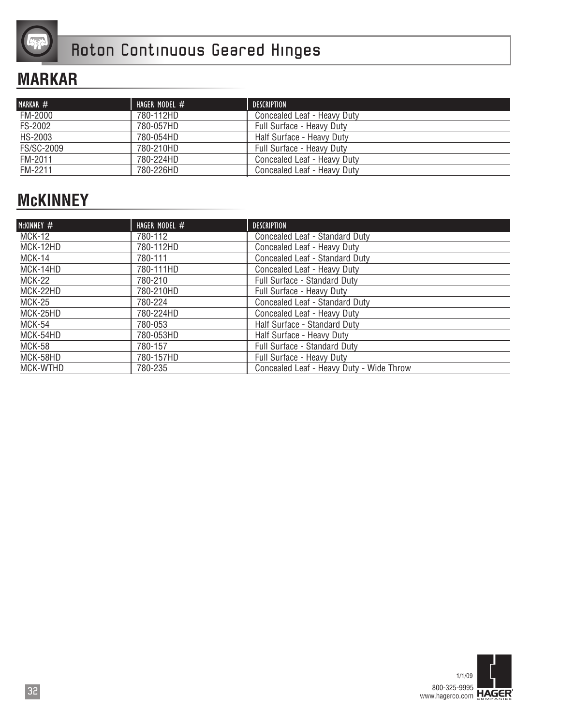

#### **MARKAR**

| MARKAR #   | HAGER MODEL $#$ | <b>DESCRIPTION</b>          |
|------------|-----------------|-----------------------------|
| FM-2000    | 780-112HD       | Concealed Leaf - Heavy Duty |
| FS-2002    | 780-057HD       | Full Surface - Heavy Duty   |
| HS-2003    | 780-054HD       | Half Surface - Heavy Duty   |
| FS/SC-2009 | 780-210HD       | Full Surface - Heavy Duty   |
| FM-2011    | 780-224HD       | Concealed Leaf - Heavy Duty |
| FM-2211    | 780-226HD       | Concealed Leaf - Heavy Duty |

### **McKINNEY**

| MCKINNEY $#$  | HAGER MODEL # | <b>DESCRIPTION</b>                       |
|---------------|---------------|------------------------------------------|
| MCK-12        | 780-112       | Concealed Leaf - Standard Duty           |
| MCK-12HD      | 780-112HD     | Concealed Leaf - Heavy Duty              |
| MCK-14        | 780-111       | Concealed Leaf - Standard Duty           |
| MCK-14HD      | 780-111HD     | Concealed Leaf - Heavy Duty              |
| <b>MCK-22</b> | 780-210       | Full Surface - Standard Duty             |
| MCK-22HD      | 780-210HD     | Full Surface - Heavy Duty                |
| MCK-25        | 780-224       | Concealed Leaf - Standard Duty           |
| MCK-25HD      | 780-224HD     | Concealed Leaf - Heavy Duty              |
| <b>MCK-54</b> | 780-053       | Half Surface - Standard Duty             |
| MCK-54HD      | 780-053HD     | Half Surface - Heavy Duty                |
| <b>MCK-58</b> | 780-157       | Full Surface - Standard Duty             |
| MCK-58HD      | 780-157HD     | Full Surface - Heavy Duty                |
| MCK-WTHD      | 780-235       | Concealed Leaf - Heavy Duty - Wide Throw |

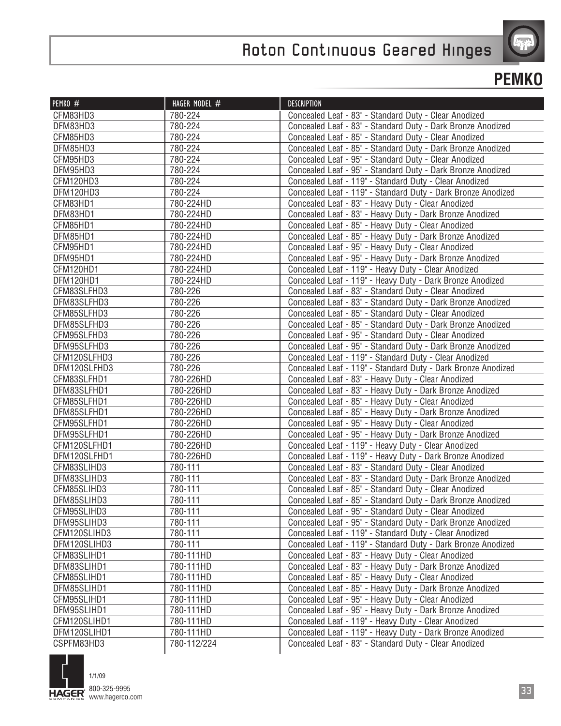

| PEMKO #      | HAGER MODEL # | <b>DESCRIPTION</b>                                           |
|--------------|---------------|--------------------------------------------------------------|
| CFM83HD3     | 780-224       | Concealed Leaf - 83" - Standard Duty - Clear Anodized        |
| DFM83HD3     | 780-224       | Concealed Leaf - 83" - Standard Duty - Dark Bronze Anodized  |
| CFM85HD3     | 780-224       | Concealed Leaf - 85" - Standard Duty - Clear Anodized        |
| DFM85HD3     | 780-224       | Concealed Leaf - 85" - Standard Duty - Dark Bronze Anodized  |
| CFM95HD3     | 780-224       | Concealed Leaf - 95" - Standard Duty - Clear Anodized        |
| DFM95HD3     | 780-224       | Concealed Leaf - 95" - Standard Duty - Dark Bronze Anodized  |
| CFM120HD3    | 780-224       | Concealed Leaf - 119" - Standard Duty - Clear Anodized       |
| DFM120HD3    | 780-224       | Concealed Leaf - 119" - Standard Duty - Dark Bronze Anodized |
| CFM83HD1     | 780-224HD     | Concealed Leaf - 83" - Heavy Duty - Clear Anodized           |
| DFM83HD1     | 780-224HD     | Concealed Leaf - 83" - Heavy Duty - Dark Bronze Anodized     |
| CFM85HD1     | 780-224HD     | Concealed Leaf - 85" - Heavy Duty - Clear Anodized           |
| DFM85HD1     | 780-224HD     | Concealed Leaf - 85" - Heavy Duty - Dark Bronze Anodized     |
| CFM95HD1     | 780-224HD     | Concealed Leaf - 95" - Heavy Duty - Clear Anodized           |
| DFM95HD1     | 780-224HD     | Concealed Leaf - 95" - Heavy Duty - Dark Bronze Anodized     |
| CFM120HD1    | 780-224HD     | Concealed Leaf - 119" - Heavy Duty - Clear Anodized          |
| DFM120HD1    | 780-224HD     | Concealed Leaf - 119" - Heavy Duty - Dark Bronze Anodized    |
| CFM83SLFHD3  | 780-226       | Concealed Leaf - 83" - Standard Duty - Clear Anodized        |
| DFM83SLFHD3  | 780-226       | Concealed Leaf - 83" - Standard Duty - Dark Bronze Anodized  |
| CFM85SLFHD3  | 780-226       | Concealed Leaf - 85" - Standard Duty - Clear Anodized        |
| DFM85SLFHD3  | 780-226       | Concealed Leaf - 85" - Standard Duty - Dark Bronze Anodized  |
| CFM95SLFHD3  | 780-226       | Concealed Leaf - 95" - Standard Duty - Clear Anodized        |
| DFM95SLFHD3  | 780-226       | Concealed Leaf - 95" - Standard Duty - Dark Bronze Anodized  |
| CFM120SLFHD3 | 780-226       | Concealed Leaf - 119" - Standard Duty - Clear Anodized       |
| DFM120SLFHD3 | 780-226       | Concealed Leaf - 119" - Standard Duty - Dark Bronze Anodized |
| CFM83SLFHD1  | 780-226HD     | Concealed Leaf - 83" - Heavy Duty - Clear Anodized           |
| DFM83SLFHD1  | 780-226HD     | Concealed Leaf - 83" - Heavy Duty - Dark Bronze Anodized     |
| CFM85SLFHD1  | 780-226HD     | Concealed Leaf - 85" - Heavy Duty - Clear Anodized           |
| DFM85SLFHD1  | 780-226HD     | Concealed Leaf - 85" - Heavy Duty - Dark Bronze Anodized     |
| CFM95SLFHD1  | 780-226HD     | Concealed Leaf - 95" - Heavy Duty - Clear Anodized           |
| DFM95SLFHD1  | 780-226HD     | Concealed Leaf - 95" - Heavy Duty - Dark Bronze Anodized     |
| CFM120SLFHD1 | 780-226HD     | Concealed Leaf - 119" - Heavy Duty - Clear Anodized          |
| DFM120SLFHD1 | 780-226HD     | Concealed Leaf - 119" - Heavy Duty - Dark Bronze Anodized    |
| CFM83SLIHD3  | 780-111       | Concealed Leaf - 83" - Standard Duty - Clear Anodized        |
| DFM83SLIHD3  | 780-111       | Concealed Leaf - 83" - Standard Duty - Dark Bronze Anodized  |
| CFM85SLIHD3  | 780-111       | Concealed Leaf - 85" - Standard Duty - Clear Anodized        |
| DFM85SLIHD3  | 780-111       | Concealed Leaf - 85" - Standard Duty - Dark Bronze Anodized  |
| CFM95SLIHD3  | 780-111       | Concealed Leaf - 95" - Standard Duty - Clear Anodized        |
| DFM95SLIHD3  | 780-111       | Concealed Leaf - 95" - Standard Duty - Dark Bronze Anodized  |
| CFM120SLIHD3 | 780-111       | Concealed Leaf - 119" - Standard Duty - Clear Anodized       |
| DFM120SLIHD3 | 780-111       | Concealed Leaf - 119" - Standard Duty - Dark Bronze Anodized |
| CFM83SLIHD1  | 780-111HD     | Concealed Leaf - 83" - Heavy Duty - Clear Anodized           |
| DFM83SLIHD1  | 780-111HD     | Concealed Leaf - 83" - Heavy Duty - Dark Bronze Anodized     |
| CFM85SLIHD1  | 780-111HD     | Concealed Leaf - 85" - Heavy Duty - Clear Anodized           |
| DFM85SLIHD1  | 780-111HD     | Concealed Leaf - 85" - Heavy Duty - Dark Bronze Anodized     |
| CFM95SLIHD1  | 780-111HD     | Concealed Leaf - 95" - Heavy Duty - Clear Anodized           |
| DFM95SLIHD1  | 780-111HD     | Concealed Leaf - 95" - Heavy Duty - Dark Bronze Anodized     |
| CFM120SLIHD1 | 780-111HD     | Concealed Leaf - 119" - Heavy Duty - Clear Anodized          |
| DFM120SLIHD1 | 780-111HD     | Concealed Leaf - 119" - Heavy Duty - Dark Bronze Anodized    |
| CSPFM83HD3   | 780-112/224   | Concealed Leaf - 83" - Standard Duty - Clear Anodized        |

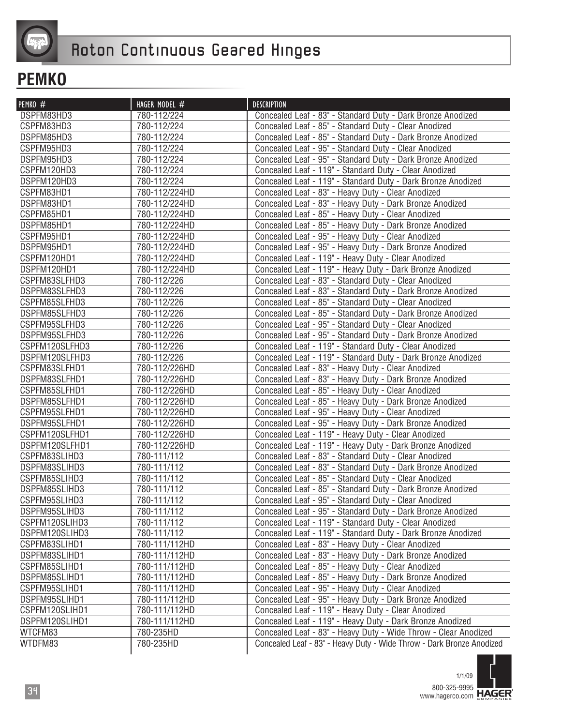

| PEMKO #        | HAGER MODEL # | <b>DESCRIPTION</b>                                                    |
|----------------|---------------|-----------------------------------------------------------------------|
| DSPFM83HD3     | 780-112/224   | Concealed Leaf - 83" - Standard Duty - Dark Bronze Anodized           |
| CSPFM83HD3     | 780-112/224   | Concealed Leaf - 85" - Standard Duty - Clear Anodized                 |
| DSPFM85HD3     | 780-112/224   | Concealed Leaf - 85" - Standard Duty - Dark Bronze Anodized           |
| CSPFM95HD3     | 780-112/224   | Concealed Leaf - 95" - Standard Duty - Clear Anodized                 |
| DSPFM95HD3     | 780-112/224   | Concealed Leaf - 95" - Standard Duty - Dark Bronze Anodized           |
| CSPFM120HD3    | 780-112/224   | Concealed Leaf - 119" - Standard Duty - Clear Anodized                |
| DSPFM120HD3    | 780-112/224   | Concealed Leaf - 119" - Standard Duty - Dark Bronze Anodized          |
| CSPFM83HD1     | 780-112/224HD | Concealed Leaf - 83" - Heavy Duty - Clear Anodized                    |
| DSPFM83HD1     | 780-112/224HD | Concealed Leaf - 83" - Heavy Duty - Dark Bronze Anodized              |
| CSPFM85HD1     | 780-112/224HD | Concealed Leaf - 85" - Heavy Duty - Clear Anodized                    |
| DSPFM85HD1     | 780-112/224HD | Concealed Leaf - 85" - Heavy Duty - Dark Bronze Anodized              |
| CSPFM95HD1     | 780-112/224HD | Concealed Leaf - 95" - Heavy Duty - Clear Anodized                    |
| DSPFM95HD1     | 780-112/224HD | Concealed Leaf - 95" - Heavy Duty - Dark Bronze Anodized              |
| CSPFM120HD1    | 780-112/224HD | Concealed Leaf - 119" - Heavy Duty - Clear Anodized                   |
| DSPFM120HD1    | 780-112/224HD | Concealed Leaf - 119" - Heavy Duty - Dark Bronze Anodized             |
| CSPFM83SLFHD3  | 780-112/226   | Concealed Leaf - 83" - Standard Duty - Clear Anodized                 |
| DSPFM83SLFHD3  | 780-112/226   | Concealed Leaf - 83" - Standard Duty - Dark Bronze Anodized           |
| CSPFM85SLFHD3  | 780-112/226   | Concealed Leaf - 85" - Standard Duty - Clear Anodized                 |
| DSPFM85SLFHD3  | 780-112/226   | Concealed Leaf - 85" - Standard Duty - Dark Bronze Anodized           |
| CSPFM95SLFHD3  | 780-112/226   | Concealed Leaf - 95" - Standard Duty - Clear Anodized                 |
| DSPFM95SLFHD3  | 780-112/226   | Concealed Leaf - 95" - Standard Duty - Dark Bronze Anodized           |
| CSPFM120SLFHD3 | 780-112/226   | Concealed Leaf - 119" - Standard Duty - Clear Anodized                |
| DSPFM120SLFHD3 | 780-112/226   | Concealed Leaf - 119" - Standard Duty - Dark Bronze Anodized          |
| CSPFM83SLFHD1  | 780-112/226HD | Concealed Leaf - 83" - Heavy Duty - Clear Anodized                    |
| DSPFM83SLFHD1  | 780-112/226HD | Concealed Leaf - 83" - Heavy Duty - Dark Bronze Anodized              |
| CSPFM85SLFHD1  | 780-112/226HD | Concealed Leaf - 85" - Heavy Duty - Clear Anodized                    |
| DSPFM85SLFHD1  | 780-112/226HD | Concealed Leaf - 85" - Heavy Duty - Dark Bronze Anodized              |
| CSPFM95SLFHD1  | 780-112/226HD | Concealed Leaf - 95" - Heavy Duty - Clear Anodized                    |
| DSPFM95SLFHD1  | 780-112/226HD | Concealed Leaf - 95" - Heavy Duty - Dark Bronze Anodized              |
| CSPFM120SLFHD1 | 780-112/226HD | Concealed Leaf - 119" - Heavy Duty - Clear Anodized                   |
| DSPFM120SLFHD1 | 780-112/226HD | Concealed Leaf - 119" - Heavy Duty - Dark Bronze Anodized             |
| CSPFM83SLIHD3  | 780-111/112   | Concealed Leaf - 83" - Standard Duty - Clear Anodized                 |
| DSPFM83SLIHD3  | 780-111/112   | Concealed Leaf - 83" - Standard Duty - Dark Bronze Anodized           |
| CSPFM85SLIHD3  | 780-111/112   | Concealed Leaf - 85" - Standard Duty - Clear Anodized                 |
| DSPFM85SLIHD3  | 780-111/112   | Concealed Leaf - 85" - Standard Duty - Dark Bronze Anodized           |
| CSPFM95SLIHD3  | 780-111/112   | Concealed Leaf - 95" - Standard Duty - Clear Anodized                 |
| DSPFM95SLIHD3  | 780-111/112   | Concealed Leaf - 95" - Standard Duty - Dark Bronze Anodized           |
| CSPFM120SLIHD3 | 780-111/112   | Concealed Leaf - 119" - Standard Duty - Clear Anodized                |
| DSPFM120SLIHD3 | 780-111/112   | Concealed Leaf - 119" - Standard Duty - Dark Bronze Anodized          |
| CSPFM83SLIHD1  | 780-111/112HD | Concealed Leaf - 83" - Heavy Duty - Clear Anodized                    |
| DSPFM83SLIHD1  | 780-111/112HD | Concealed Leaf - 83" - Heavy Duty - Dark Bronze Anodized              |
| CSPFM85SLIHD1  | 780-111/112HD | Concealed Leaf - 85" - Heavy Duty - Clear Anodized                    |
| DSPFM85SLIHD1  | 780-111/112HD | Concealed Leaf - 85" - Heavy Duty - Dark Bronze Anodized              |
| CSPFM95SLIHD1  | 780-111/112HD | Concealed Leaf - 95" - Heavy Duty - Clear Anodized                    |
| DSPFM95SLIHD1  | 780-111/112HD | Concealed Leaf - 95" - Heavy Duty - Dark Bronze Anodized              |
| CSPFM120SLIHD1 | 780-111/112HD | Concealed Leaf - 119" - Heavy Duty - Clear Anodized                   |
| DSPFM120SLIHD1 | 780-111/112HD | Concealed Leaf - 119" - Heavy Duty - Dark Bronze Anodized             |
| WTCFM83        | 780-235HD     | Concealed Leaf - 83" - Heavy Duty - Wide Throw - Clear Anodized       |
| WTDFM83        | 780-235HD     | Concealed Leaf - 83" - Heavy Duty - Wide Throw - Dark Bronze Anodized |

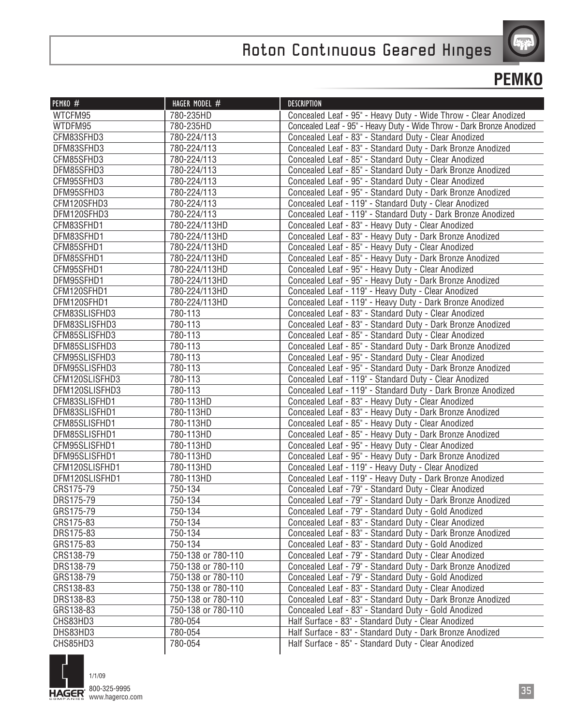

| PEMKO #        | HAGER MODEL #      | <b>DESCRIPTION</b>                                                    |
|----------------|--------------------|-----------------------------------------------------------------------|
| WTCFM95        | 780-235HD          | Concealed Leaf - 95" - Heavy Duty - Wide Throw - Clear Anodized       |
| WTDFM95        | 780-235HD          | Concealed Leaf - 95" - Heavy Duty - Wide Throw - Dark Bronze Anodized |
| CFM83SFHD3     | 780-224/113        | Concealed Leaf - 83" - Standard Duty - Clear Anodized                 |
| DFM83SFHD3     | 780-224/113        | Concealed Leaf - 83" - Standard Duty - Dark Bronze Anodized           |
| CFM85SFHD3     | 780-224/113        | Concealed Leaf - 85" - Standard Duty - Clear Anodized                 |
| DFM85SFHD3     | 780-224/113        | Concealed Leaf - 85" - Standard Duty - Dark Bronze Anodized           |
| CFM95SFHD3     | 780-224/113        | Concealed Leaf - 95" - Standard Duty - Clear Anodized                 |
| DFM95SFHD3     | 780-224/113        | Concealed Leaf - 95" - Standard Duty - Dark Bronze Anodized           |
| CFM120SFHD3    | 780-224/113        | Concealed Leaf - 119" - Standard Duty - Clear Anodized                |
| DFM120SFHD3    | 780-224/113        | Concealed Leaf - 119" - Standard Duty - Dark Bronze Anodized          |
| CFM83SFHD1     | 780-224/113HD      | Concealed Leaf - 83" - Heavy Duty - Clear Anodized                    |
| DFM83SFHD1     | 780-224/113HD      | Concealed Leaf - 83" - Heavy Duty - Dark Bronze Anodized              |
| CFM85SFHD1     | 780-224/113HD      | Concealed Leaf - 85" - Heavy Duty - Clear Anodized                    |
| DFM85SFHD1     | 780-224/113HD      | Concealed Leaf - 85" - Heavy Duty - Dark Bronze Anodized              |
| CFM95SFHD1     | 780-224/113HD      | Concealed Leaf - 95" - Heavy Duty - Clear Anodized                    |
| DFM95SFHD1     | 780-224/113HD      | Concealed Leaf - 95" - Heavy Duty - Dark Bronze Anodized              |
| CFM120SFHD1    | 780-224/113HD      | Concealed Leaf - 119" - Heavy Duty - Clear Anodized                   |
| DFM120SFHD1    | 780-224/113HD      | Concealed Leaf - 119" - Heavy Duty - Dark Bronze Anodized             |
| CFM83SLISFHD3  | 780-113            | Concealed Leaf - 83" - Standard Duty - Clear Anodized                 |
| DFM83SLISFHD3  | 780-113            | Concealed Leaf - 83" - Standard Duty - Dark Bronze Anodized           |
| CFM85SLISFHD3  | 780-113            | Concealed Leaf - 85" - Standard Duty - Clear Anodized                 |
| DFM85SLISFHD3  | 780-113            | Concealed Leaf - 85" - Standard Duty - Dark Bronze Anodized           |
| CFM95SLISFHD3  | 780-113            | Concealed Leaf - 95" - Standard Duty - Clear Anodized                 |
| DFM95SLISFHD3  | 780-113            | Concealed Leaf - 95" - Standard Duty - Dark Bronze Anodized           |
| CFM120SLISFHD3 | 780-113            | Concealed Leaf - 119" - Standard Duty - Clear Anodized                |
| DFM120SLISFHD3 | 780-113            | Concealed Leaf - 119" - Standard Duty - Dark Bronze Anodized          |
| CFM83SLISFHD1  | 780-113HD          | Concealed Leaf - 83" - Heavy Duty - Clear Anodized                    |
| DFM83SLISFHD1  | 780-113HD          | Concealed Leaf - 83" - Heavy Duty - Dark Bronze Anodized              |
| CFM85SLISFHD1  | 780-113HD          | Concealed Leaf - 85" - Heavy Duty - Clear Anodized                    |
| DFM85SLISFHD1  | 780-113HD          | Concealed Leaf - 85" - Heavy Duty - Dark Bronze Anodized              |
| CFM95SLISFHD1  | 780-113HD          | Concealed Leaf - 95" - Heavy Duty - Clear Anodized                    |
| DFM95SLISFHD1  | 780-113HD          | Concealed Leaf - 95" - Heavy Duty - Dark Bronze Anodized              |
| CFM120SLISFHD1 | 780-113HD          | Concealed Leaf - 119" - Heavy Duty - Clear Anodized                   |
| DFM120SLISFHD1 | 780-113HD          | Concealed Leaf - 119" - Heavy Duty - Dark Bronze Anodized             |
| CRS175-79      | 750-134            | Concealed Leaf - 79" - Standard Duty - Clear Anodized                 |
| DRS175-79      | 750-134            | Concealed Leaf - 79" - Standard Duty - Dark Bronze Anodized           |
| GRS175-79      | 750-134            | Concealed Leaf - 79" - Standard Duty - Gold Anodized                  |
| CRS175-83      | 750-134            | Concealed Leaf - 83" - Standard Duty - Clear Anodized                 |
| DRS175-83      | 750-134            | Concealed Leaf - 83" - Standard Duty - Dark Bronze Anodized           |
| GRS175-83      | 750-134            | Concealed Leaf - 83" - Standard Duty - Gold Anodized                  |
| CRS138-79      | 750-138 or 780-110 | Concealed Leaf - 79" - Standard Duty - Clear Anodized                 |
| DRS138-79      | 750-138 or 780-110 | Concealed Leaf - 79" - Standard Duty - Dark Bronze Anodized           |
| GRS138-79      | 750-138 or 780-110 | Concealed Leaf - 79" - Standard Duty - Gold Anodized                  |
| CRS138-83      | 750-138 or 780-110 | Concealed Leaf - 83" - Standard Duty - Clear Anodized                 |
| DRS138-83      | 750-138 or 780-110 | Concealed Leaf - 83" - Standard Duty - Dark Bronze Anodized           |
| GRS138-83      | 750-138 or 780-110 | Concealed Leaf - 83" - Standard Duty - Gold Anodized                  |
| CHS83HD3       | 780-054            | Half Surface - 83" - Standard Duty - Clear Anodized                   |
| DHS83HD3       | 780-054            | Half Surface - 83" - Standard Duty - Dark Bronze Anodized             |
| CHS85HD3       | 780-054            | Half Surface - 85" - Standard Duty - Clear Anodized                   |

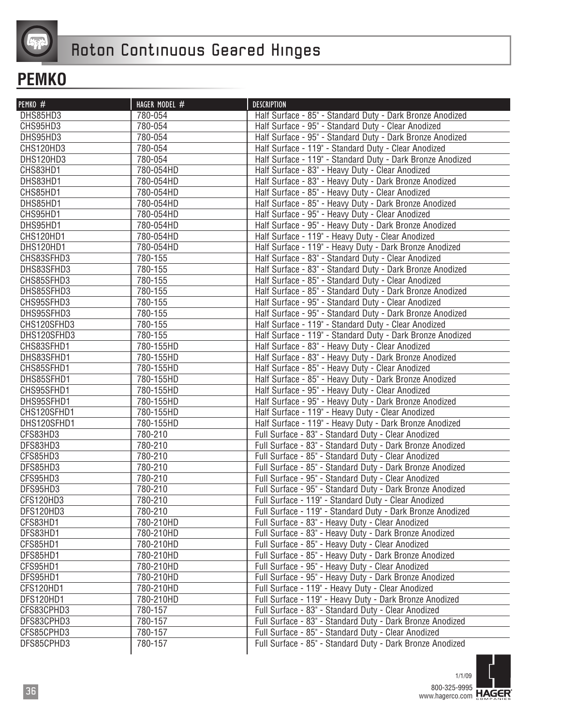

| PEMKO #     | HAGER MODEL # | <b>DESCRIPTION</b>                                         |
|-------------|---------------|------------------------------------------------------------|
| DHS85HD3    | 780-054       | Half Surface - 85" - Standard Duty - Dark Bronze Anodized  |
| CHS95HD3    | 780-054       | Half Surface - 95" - Standard Duty - Clear Anodized        |
| DHS95HD3    | 780-054       | Half Surface - 95" - Standard Duty - Dark Bronze Anodized  |
| CHS120HD3   | 780-054       | Half Surface - 119" - Standard Duty - Clear Anodized       |
| DHS120HD3   | 780-054       | Half Surface - 119" - Standard Duty - Dark Bronze Anodized |
| CHS83HD1    | 780-054HD     | Half Surface - 83" - Heavy Duty - Clear Anodized           |
| DHS83HD1    | 780-054HD     | Half Surface - 83" - Heavy Duty - Dark Bronze Anodized     |
| CHS85HD1    | 780-054HD     | Half Surface - 85" - Heavy Duty - Clear Anodized           |
| DHS85HD1    | 780-054HD     | Half Surface - 85" - Heavy Duty - Dark Bronze Anodized     |
| CHS95HD1    | 780-054HD     | Half Surface - 95" - Heavy Duty - Clear Anodized           |
| DHS95HD1    | 780-054HD     | Half Surface - 95" - Heavy Duty - Dark Bronze Anodized     |
| CHS120HD1   | 780-054HD     | Half Surface - 119" - Heavy Duty - Clear Anodized          |
| DHS120HD1   | 780-054HD     | Half Surface - 119" - Heavy Duty - Dark Bronze Anodized    |
| CHS83SFHD3  | 780-155       | Half Surface - 83" - Standard Duty - Clear Anodized        |
| DHS83SFHD3  | 780-155       | Half Surface - 83" - Standard Duty - Dark Bronze Anodized  |
| CHS85SFHD3  | 780-155       | Half Surface - 85" - Standard Duty - Clear Anodized        |
| DHS85SFHD3  | 780-155       | Half Surface - 85" - Standard Duty - Dark Bronze Anodized  |
| CHS95SFHD3  | 780-155       | Half Surface - 95" - Standard Duty - Clear Anodized        |
| DHS95SFHD3  | 780-155       | Half Surface - 95" - Standard Duty - Dark Bronze Anodized  |
| CHS120SFHD3 | 780-155       | Half Surface - 119" - Standard Duty - Clear Anodized       |
| DHS120SFHD3 | 780-155       | Half Surface - 119" - Standard Duty - Dark Bronze Anodized |
| CHS83SFHD1  | 780-155HD     | Half Surface - 83" - Heavy Duty - Clear Anodized           |
| DHS83SFHD1  | 780-155HD     | Half Surface - 83" - Heavy Duty - Dark Bronze Anodized     |
| CHS85SFHD1  | 780-155HD     | Half Surface - 85" - Heavy Duty - Clear Anodized           |
| DHS85SFHD1  | 780-155HD     | Half Surface - 85" - Heavy Duty - Dark Bronze Anodized     |
| CHS95SFHD1  | 780-155HD     | Half Surface - 95" - Heavy Duty - Clear Anodized           |
| DHS95SFHD1  | 780-155HD     | Half Surface - 95" - Heavy Duty - Dark Bronze Anodized     |
| CHS120SFHD1 | 780-155HD     | Half Surface - 119" - Heavy Duty - Clear Anodized          |
| DHS120SFHD1 | 780-155HD     | Half Surface - 119" - Heavy Duty - Dark Bronze Anodized    |
| CFS83HD3    | 780-210       | Full Surface - 83" - Standard Duty - Clear Anodized        |
| DFS83HD3    | 780-210       | Full Surface - 83" - Standard Duty - Dark Bronze Anodized  |
| CFS85HD3    | 780-210       | Full Surface - 85" - Standard Duty - Clear Anodized        |
| DFS85HD3    | 780-210       | Full Surface - 85" - Standard Duty - Dark Bronze Anodized  |
| CFS95HD3    | 780-210       | Full Surface - 95" - Standard Duty - Clear Anodized        |
| DFS95HD3    | 780-210       | Full Surface - 95" - Standard Duty - Dark Bronze Anodized  |
| CFS120HD3   | 780-210       | Full Surface - 119" - Standard Duty - Clear Anodized       |
| DFS120HD3   | 780-210       | Full Surface - 119" - Standard Duty - Dark Bronze Anodized |
| CFS83HD1    | 780-210HD     | Full Surface - 83" - Heavy Duty - Clear Anodized           |
| DFS83HD1    | 780-210HD     | Full Surface - 83" - Heavy Duty - Dark Bronze Anodized     |
| CFS85HD1    | 780-210HD     | Full Surface - 85" - Heavy Duty - Clear Anodized           |
| DFS85HD1    | 780-210HD     | Full Surface - 85" - Heavy Duty - Dark Bronze Anodized     |
| CFS95HD1    | 780-210HD     | Full Surface - 95" - Heavy Duty - Clear Anodized           |
| DFS95HD1    | 780-210HD     | Full Surface - 95" - Heavy Duty - Dark Bronze Anodized     |
| CFS120HD1   | 780-210HD     | Full Surface - 119" - Heavy Duty - Clear Anodized          |
| DFS120HD1   | 780-210HD     | Full Surface - 119" - Heavy Duty - Dark Bronze Anodized    |
| CFS83CPHD3  | 780-157       | Full Surface - 83" - Standard Duty - Clear Anodized        |
| DFS83CPHD3  | 780-157       | Full Surface - 83" - Standard Duty - Dark Bronze Anodized  |
| CFS85CPHD3  | 780-157       | Full Surface - 85" - Standard Duty - Clear Anodized        |
| DFS85CPHD3  | 780-157       | Full Surface - 85" - Standard Duty - Dark Bronze Anodized  |

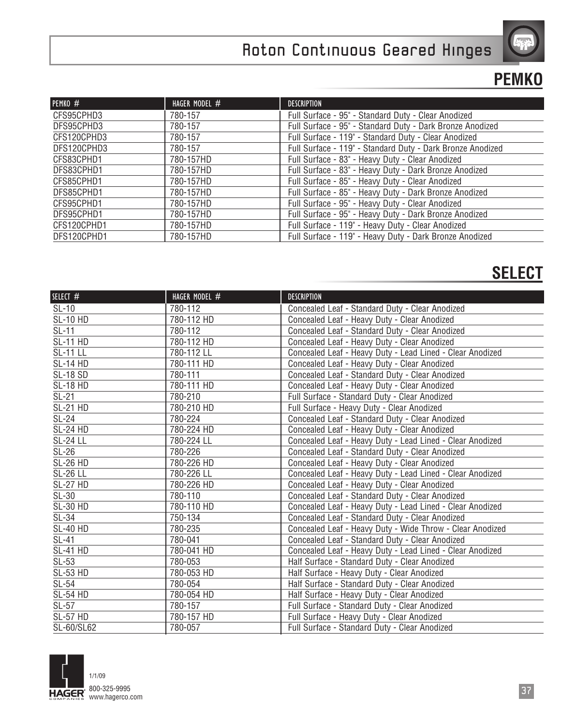

### **PEMKO**

| PEMKO #     | HAGER MODEL # | <b>DESCRIPTION</b>                                         |
|-------------|---------------|------------------------------------------------------------|
| CFS95CPHD3  | 780-157       | Full Surface - 95" - Standard Duty - Clear Anodized        |
| DFS95CPHD3  | 780-157       | Full Surface - 95" - Standard Duty - Dark Bronze Anodized  |
| CFS120CPHD3 | 780-157       | Full Surface - 119" - Standard Duty - Clear Anodized       |
| DFS120CPHD3 | 780-157       | Full Surface - 119" - Standard Duty - Dark Bronze Anodized |
| CFS83CPHD1  | 780-157HD     | Full Surface - 83" - Heavy Duty - Clear Anodized           |
| DFS83CPHD1  | 780-157HD     | Full Surface - 83" - Heavy Duty - Dark Bronze Anodized     |
| CFS85CPHD1  | 780-157HD     | Full Surface - 85" - Heavy Duty - Clear Anodized           |
| DFS85CPHD1  | 780-157HD     | Full Surface - 85" - Heavy Duty - Dark Bronze Anodized     |
| CFS95CPHD1  | 780-157HD     | Full Surface - 95" - Heavy Duty - Clear Anodized           |
| DFS95CPHD1  | 780-157HD     | Full Surface - 95" - Heavy Duty - Dark Bronze Anodized     |
| CFS120CPHD1 | 780-157HD     | Full Surface - 119" - Heavy Duty - Clear Anodized          |
| DFS120CPHD1 | 780-157HD     | Full Surface - 119" - Heavy Duty - Dark Bronze Anodized    |

#### **SELECT**

| SELECT #        | HAGER MODEL # | <b>DESCRIPTION</b>                                        |
|-----------------|---------------|-----------------------------------------------------------|
| $SL-10$         | 780-112       | Concealed Leaf - Standard Duty - Clear Anodized           |
| <b>SL-10 HD</b> | 780-112 HD    | Concealed Leaf - Heavy Duty - Clear Anodized              |
| $SL-11$         | 780-112       | Concealed Leaf - Standard Duty - Clear Anodized           |
| <b>SL-11 HD</b> | 780-112 HD    | Concealed Leaf - Heavy Duty - Clear Anodized              |
| <b>SL-11 LL</b> | 780-112 LL    | Concealed Leaf - Heavy Duty - Lead Lined - Clear Anodized |
| <b>SL-14 HD</b> | 780-111 HD    | Concealed Leaf - Heavy Duty - Clear Anodized              |
| <b>SL-18 SD</b> | 780-111       | Concealed Leaf - Standard Duty - Clear Anodized           |
| <b>SL-18 HD</b> | 780-111 HD    | Concealed Leaf - Heavy Duty - Clear Anodized              |
| $SL-21$         | 780-210       | Full Surface - Standard Duty - Clear Anodized             |
| <b>SL-21 HD</b> | 780-210 HD    | Full Surface - Heavy Duty - Clear Anodized                |
| $SL-24$         | 780-224       | Concealed Leaf - Standard Duty - Clear Anodized           |
| <b>SL-24 HD</b> | 780-224 HD    | Concealed Leaf - Heavy Duty - Clear Anodized              |
| <b>SL-24 LL</b> | 780-224 LL    | Concealed Leaf - Heavy Duty - Lead Lined - Clear Anodized |
| $SL-26$         | 780-226       | Concealed Leaf - Standard Duty - Clear Anodized           |
| <b>SL-26 HD</b> | 780-226 HD    | Concealed Leaf - Heavy Duty - Clear Anodized              |
| <b>SL-26 LL</b> | 780-226 LL    | Concealed Leaf - Heavy Duty - Lead Lined - Clear Anodized |
| <b>SL-27 HD</b> | 780-226 HD    | Concealed Leaf - Heavy Duty - Clear Anodized              |
| $SL-30$         | 780-110       | Concealed Leaf - Standard Duty - Clear Anodized           |
| <b>SL-30 HD</b> | 780-110 HD    | Concealed Leaf - Heavy Duty - Lead Lined - Clear Anodized |
| $SL-34$         | 750-134       | Concealed Leaf - Standard Duty - Clear Anodized           |
| <b>SL-40 HD</b> | 780-235       | Concealed Leaf - Heavy Duty - Wide Throw - Clear Anodized |
| <b>SL-41</b>    | 780-041       | Concealed Leaf - Standard Duty - Clear Anodized           |
| <b>SL-41 HD</b> | 780-041 HD    | Concealed Leaf - Heavy Duty - Lead Lined - Clear Anodized |
| $SL-53$         | 780-053       | Half Surface - Standard Duty - Clear Anodized             |
| <b>SL-53 HD</b> | 780-053 HD    | Half Surface - Heavy Duty - Clear Anodized                |
| $SL-54$         | 780-054       | Half Surface - Standard Duty - Clear Anodized             |
| <b>SL-54 HD</b> | 780-054 HD    | Half Surface - Heavy Duty - Clear Anodized                |
| $SL-57$         | 780-157       | Full Surface - Standard Duty - Clear Anodized             |
| <b>SL-57 HD</b> | 780-157 HD    | Full Surface - Heavy Duty - Clear Anodized                |
| SL-60/SL62      | 780-057       | Full Surface - Standard Duty - Clear Anodized             |